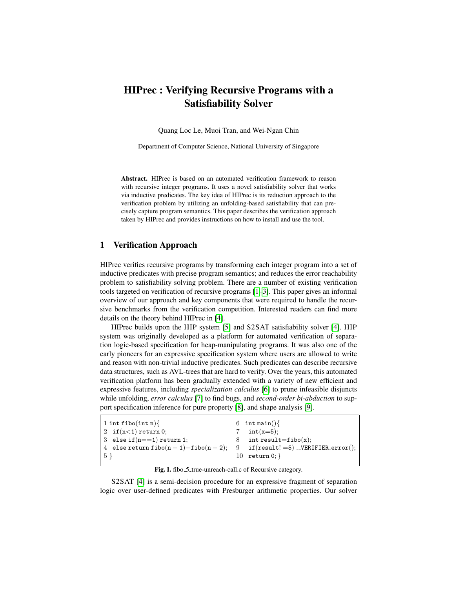# HIPrec : Verifying Recursive Programs with a Satisfiability Solver

Quang Loc Le, Muoi Tran, and Wei-Ngan Chin

Department of Computer Science, National University of Singapore

Abstract. HIPrec is based on an automated verification framework to reason with recursive integer programs. It uses a novel satisfiability solver that works via inductive predicates. The key idea of HIPrec is its reduction approach to the verification problem by utilizing an unfolding-based satisfiability that can precisely capture program semantics. This paper describes the verification approach taken by HIPrec and provides instructions on how to install and use the tool.

## 1 Verification Approach

HIPrec verifies recursive programs by transforming each integer program into a set of inductive predicates with precise program semantics; and reduces the error reachability problem to satisfiability solving problem. There are a number of existing verification tools targeted on verification of recursive programs [\[1–](#page-2-0)[3\]](#page-2-1). This paper gives an informal overview of our approach and key components that were required to handle the recursive benchmarks from the verification competition. Interested readers can find more details on the theory behind HIPrec in [\[4\]](#page-2-2).

HIPrec builds upon the HIP system [\[5\]](#page-2-3) and S2SAT satisfiability solver [\[4\]](#page-2-2). HIP system was originally developed as a platform for automated verification of separation logic-based specification for heap-manipulating programs. It was also one of the early pioneers for an expressive specification system where users are allowed to write and reason with non-trivial inductive predicates. Such predicates can describe recursive data structures, such as AVL-trees that are hard to verify. Over the years, this automated verification platform has been gradually extended with a variety of new efficient and expressive features, including *specialization calculus* [\[6\]](#page-2-4) to prune infeasible disjuncts while unfolding, *error calculus* [\[7\]](#page-2-5) to find bugs, and *second-order bi-abduction* to support specification inference for pure property [\[8\]](#page-2-6), and shape analysis [\[9\]](#page-2-7).

| $1$ int fibo(int n){                                                       | 6 int main() $\{$         |
|----------------------------------------------------------------------------|---------------------------|
| $\begin{pmatrix} 2 & \text{if} (n<1) \text{ return } 0; \end{pmatrix}$     | 7 $int(x=5)$ ;            |
| 3 else if $(n == 1)$ return 1;                                             | 8 int result=fibo $(x)$ ; |
| 4 else return $fibo(n-1)+fibo(n-2);$ 9 if $(result!=5)$ _VERIFIER_error(); |                           |
| $\vert 5 \rangle$                                                          | 10 return $0;$            |
|                                                                            |                           |

<span id="page-0-0"></span>Fig. 1. fibo\_5\_true-unreach-call.c of Recursive category.

S2SAT [\[4\]](#page-2-2) is a semi-decision procedure for an expressive fragment of separation logic over user-defined predicates with Presburger arithmetic properties. Our solver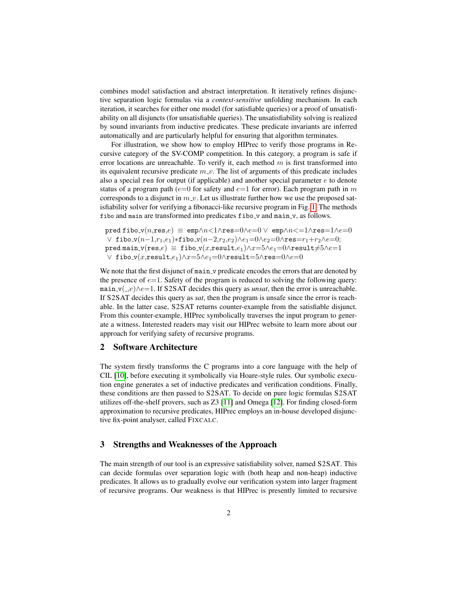combines model satisfaction and abstract interpretation. It iteratively refines disjunctive separation logic formulas via a *context-sensitive* unfolding mechanism. In each iteration, it searches for either one model (for satisfiable queries) or a proof of unsatisfiability on all disjuncts (for unsatisfiable queries). The unsatisfiability solving is realized by sound invariants from inductive predicates. These predicate invariants are inferred automatically and are particularly helpful for ensuring that algorithm terminates.

For illustration, we show how to employ HIPrec to verify those programs in Recursive category of the SV-COMP competition. In this category, a program is safe if error locations are unreachable. To verify it, each method  $m$  is first transformed into its equivalent recursive predicate  $m_v$ . The list of arguments of this predicate includes also a special res for output (if applicable) and another special parameter  $e$  to denote status of a program path ( $e=0$  for safety and  $e=1$  for error). Each program path in m corresponds to a disjunct in  $m_{\nu}$ . Let us illustrate further how we use the proposed satisfiability solver for verifying a fibonacci-like recursive program in Fig. [1.](#page-0-0) The methods fibo and main are transformed into predicates fibo\_v and main\_v, as follows.

```
pred fibo_v(n,res,e) \equiv emp\land n\leq 1 \landres=0\land e=0 \lor emp\land n\leq 1 \landres=1\land e=0\vee fibo_v(n-1,r<sub>1</sub>,e<sub>1</sub>)*fibo_v(n-2,r<sub>2</sub>,e<sub>2</sub>)\wedgee<sub>1</sub>=0\wedgee<sub>2</sub>=0\wedgeres=r<sub>1</sub>+r<sub>2</sub>\wedgee=0;
pred main_v(res,e) \equiv fibo_v(x,result,e<sub>1</sub>)\landx=5\lande<sub>1</sub>=0\landresult\neq5\lande=1
 \vee fibo_v(x,result,e<sub>1</sub>)\wedge x=5\wedge e_1=0\wedge \text{result}=5\wedge \text{res}=0\wedge e=0
```
We note that the first disjunct of main v predicate encodes the errors that are denoted by the presence of  $e=1$ . Safety of the program is reduced to solving the following query: main v( ,e)∧e=1. If S2SAT decides this query as *unsat*, then the error is unreachable. If S2SAT decides this query as *sat*, then the program is unsafe since the error is reachable. In the latter case, S2SAT returns counter-example from the satisfiable disjunct. From this counter-example, HIPrec symbolically traverses the input program to generate a witness. Interested readers may visit our HIPrec website to learn more about our approach for verifying safety of recursive programs.

## 2 Software Architecture

The system firstly transforms the C programs into a core language with the help of CIL [\[10\]](#page-2-8), before executing it symbolically via Hoare-style rules. Our symbolic execution engine generates a set of inductive predicates and verification conditions. Finally, these conditions are then passed to S2SAT. To decide on pure logic formulas S2SAT utilizes off-the-shelf provers, such as Z3 [\[11\]](#page-2-9) and Omega [\[12\]](#page-2-10). For finding closed-form approximation to recursive predicates, HIPrec employs an in-house developed disjunctive fix-point analyser, called FIXCALC.

#### 3 Strengths and Weaknesses of the Approach

The main strength of our tool is an expressive satisfiability solver, named S2SAT. This can decide formulas over separation logic with (both heap and non-heap) inductive predicates. It allows us to gradually evolve our verification system into larger fragment of recursive programs. Our weakness is that HIPrec is presently limited to recursive